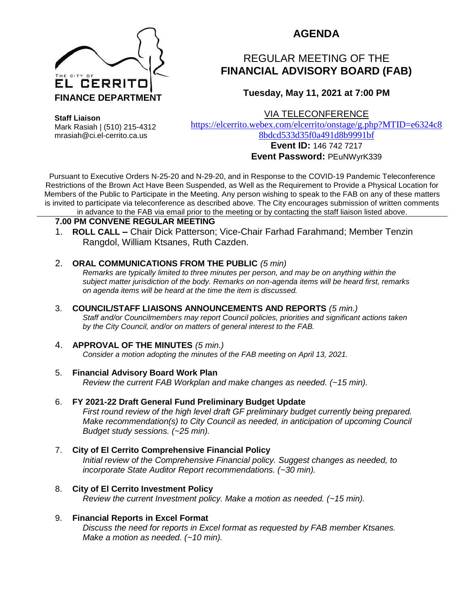

## **AGENDA**

# REGULAR MEETING OF THE **FINANCIAL ADVISORY BOARD (FAB)**

### **Tuesday, May 11, 2021 at 7:00 PM**

VIA TELECONFERENCE

**Staff Liaison**

Mark Rasiah | (510) 215-4312 mrasiah@ci.el-cerrito.ca.us

[https://elcerrito.webex.com/elcerrito/onstage/g.php?MTID=e6324c8](https://elcerrito.webex.com/elcerrito/onstage/g.php?MTID=e6324c88bdcd533d35f0a491d8b9991bf) [8bdcd533d35f0a491d8b9991bf](https://elcerrito.webex.com/elcerrito/onstage/g.php?MTID=e6324c88bdcd533d35f0a491d8b9991bf)

#### **Event ID:** 146 742 7217 **Event Password:** PEuNWyrK339

Pursuant to Executive Orders N-25-20 and N-29-20, and in Response to the COVID-19 Pandemic Teleconference Restrictions of the Brown Act Have Been Suspended, as Well as the Requirement to Provide a Physical Location for Members of the Public to Participate in the Meeting. Any person wishing to speak to the FAB on any of these matters is invited to participate via teleconference as described above. The City encourages submission of written comments in advance to the FAB via email prior to the meeting or by contacting the staff liaison listed above.

#### **7.00 PM CONVENE REGULAR MEETING**

1. **ROLL CALL –** Chair Dick Patterson; Vice-Chair Farhad Farahmand; Member Tenzin Rangdol, William Ktsanes, Ruth Cazden.

#### 2. **ORAL COMMUNICATIONS FROM THE PUBLIC** *(5 min)*

*Remarks are typically limited to three minutes per person, and may be on anything within the subject matter jurisdiction of the body. Remarks on non-agenda items will be heard first, remarks on agenda items will be heard at the time the item is discussed.* 

#### 3. **COUNCIL/STAFF LIAISONS ANNOUNCEMENTS AND REPORTS** *(5 min.)*

*Staff and/or Councilmembers may report Council policies, priorities and significant actions taken by the City Council, and/or on matters of general interest to the FAB.*

#### 4. **APPROVAL OF THE MINUTES** *(5 min.)*

*Consider a motion adopting the minutes of the FAB meeting on April 13, 2021.*

#### 5. **Financial Advisory Board Work Plan**

*Review the current FAB Workplan and make changes as needed. (~15 min).*

- 6. **FY 2021-22 Draft General Fund Preliminary Budget Update** *First round review of the high level draft GF preliminary budget currently being prepared.* 
	- *Make recommendation(s) to City Council as needed, in anticipation of upcoming Council Budget study sessions. (~25 min).*

#### 7. **City of El Cerrito Comprehensive Financial Policy** *Initial review of the Comprehensive Financial policy. Suggest changes as needed, to incorporate State Auditor Report recommendations. (~30 min).*

8. **City of El Cerrito Investment Policy** *Review the current Investment policy. Make a motion as needed. (~15 min).*

#### 9. **Financial Reports in Excel Format**

*Discuss the need for reports in Excel format as requested by FAB member Ktsanes. Make a motion as needed. (~10 min).*